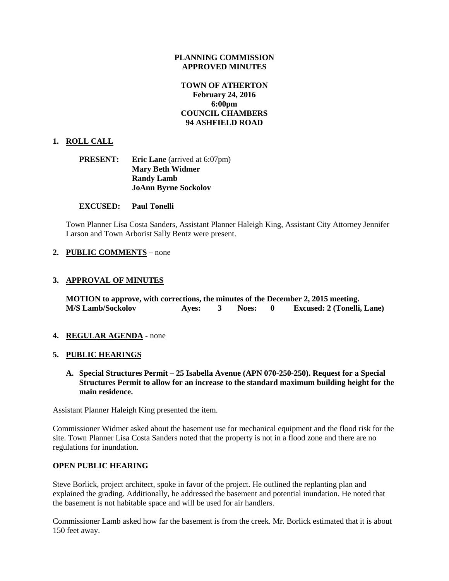### **PLANNING COMMISSION APPROVED MINUTES**

# **TOWN OF ATHERTON February 24, 2016 6:00pm COUNCIL CHAMBERS 94 ASHFIELD ROAD**

# **1. ROLL CALL**

| <b>PRESENT:</b> | <b>Eric Lane</b> (arrived at 6:07pm) |
|-----------------|--------------------------------------|
|                 | <b>Mary Beth Widmer</b>              |
|                 | <b>Randy Lamb</b>                    |
|                 | <b>JoAnn Byrne Sockolov</b>          |

### **EXCUSED: Paul Tonelli**

Town Planner Lisa Costa Sanders, Assistant Planner Haleigh King, Assistant City Attorney Jennifer Larson and Town Arborist Sally Bentz were present.

### **2. PUBLIC COMMENTS** – none

# **3. APPROVAL OF MINUTES**

**MOTION to approve, with corrections, the minutes of the December 2, 2015 meeting. M/S Lamb/Sockolov Ayes: 3 Noes: 0 Excused: 2 (Tonelli, Lane)**

#### **4. REGULAR AGENDA -** none

#### **5. PUBLIC HEARINGS**

**A. Special Structures Permit – 25 Isabella Avenue (APN 070-250-250). Request for a Special Structures Permit to allow for an increase to the standard maximum building height for the main residence.**

Assistant Planner Haleigh King presented the item.

Commissioner Widmer asked about the basement use for mechanical equipment and the flood risk for the site. Town Planner Lisa Costa Sanders noted that the property is not in a flood zone and there are no regulations for inundation.

# **OPEN PUBLIC HEARING**

Steve Borlick, project architect, spoke in favor of the project. He outlined the replanting plan and explained the grading. Additionally, he addressed the basement and potential inundation. He noted that the basement is not habitable space and will be used for air handlers.

Commissioner Lamb asked how far the basement is from the creek. Mr. Borlick estimated that it is about 150 feet away.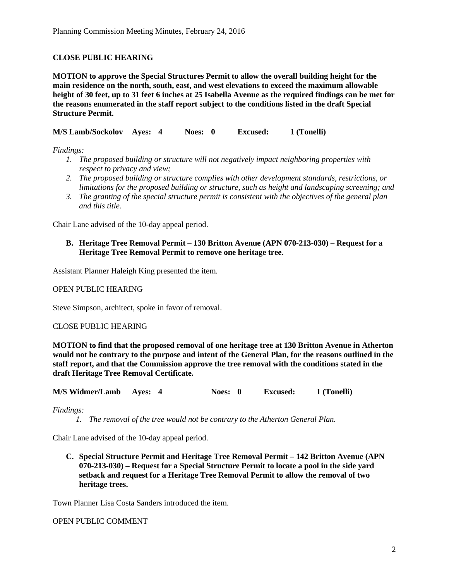# **CLOSE PUBLIC HEARING**

**MOTION to approve the Special Structures Permit to allow the overall building height for the main residence on the north, south, east, and west elevations to exceed the maximum allowable height of 30 feet, up to 31 feet 6 inches at 25 Isabella Avenue as the required findings can be met for the reasons enumerated in the staff report subject to the conditions listed in the draft Special Structure Permit.**

**M/S Lamb/Sockolov Ayes: 4 Noes: 0 Excused: 1 (Tonelli)**

*Findings:*

- *1. The proposed building or structure will not negatively impact neighboring properties with respect to privacy and view;*
- *2. The proposed building or structure complies with other development standards, restrictions, or limitations for the proposed building or structure, such as height and landscaping screening; and*
- *3. The granting of the special structure permit is consistent with the objectives of the general plan and this title.*

Chair Lane advised of the 10-day appeal period.

# **B. Heritage Tree Removal Permit – 130 Britton Avenue (APN 070-213-030) – Request for a Heritage Tree Removal Permit to remove one heritage tree.**

Assistant Planner Haleigh King presented the item.

OPEN PUBLIC HEARING

Steve Simpson, architect, spoke in favor of removal.

#### CLOSE PUBLIC HEARING

**MOTION to find that the proposed removal of one heritage tree at 130 Britton Avenue in Atherton would not be contrary to the purpose and intent of the General Plan, for the reasons outlined in the staff report, and that the Commission approve the tree removal with the conditions stated in the draft Heritage Tree Removal Certificate.**

**M/S Widmer/Lamb Ayes: 4 Noes: 0 Excused: 1 (Tonelli)**

*Findings:*

*1. The removal of the tree would not be contrary to the Atherton General Plan.*

Chair Lane advised of the 10-day appeal period.

**C. Special Structure Permit and Heritage Tree Removal Permit – 142 Britton Avenue (APN 070-213-030) – Request for a Special Structure Permit to locate a pool in the side yard setback and request for a Heritage Tree Removal Permit to allow the removal of two heritage trees.**

Town Planner Lisa Costa Sanders introduced the item.

#### OPEN PUBLIC COMMENT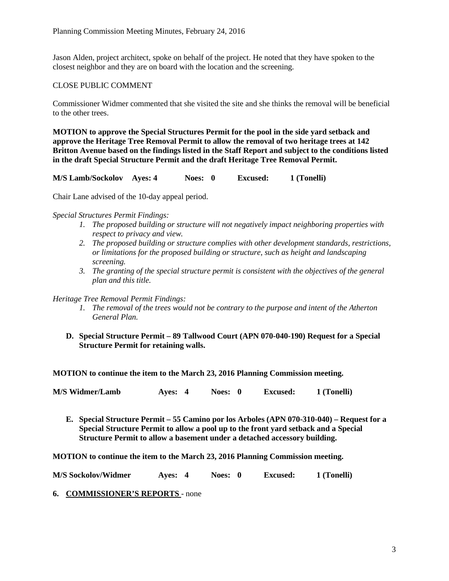Jason Alden, project architect, spoke on behalf of the project. He noted that they have spoken to the closest neighbor and they are on board with the location and the screening.

### CLOSE PUBLIC COMMENT

Commissioner Widmer commented that she visited the site and she thinks the removal will be beneficial to the other trees.

**MOTION to approve the Special Structures Permit for the pool in the side yard setback and approve the Heritage Tree Removal Permit to allow the removal of two heritage trees at 142 Britton Avenue based on the findings listed in the Staff Report and subject to the conditions listed in the draft Special Structure Permit and the draft Heritage Tree Removal Permit.**

**M/S Lamb/Sockolov Ayes: 4 Noes: 0 Excused: 1 (Tonelli)**

Chair Lane advised of the 10-day appeal period.

*Special Structures Permit Findings:*

- *1. The proposed building or structure will not negatively impact neighboring properties with respect to privacy and view.*
- *2. The proposed building or structure complies with other development standards, restrictions, or limitations for the proposed building or structure, such as height and landscaping screening.*
- *3. The granting of the special structure permit is consistent with the objectives of the general plan and this title.*

# *Heritage Tree Removal Permit Findings:*

- *1. The removal of the trees would not be contrary to the purpose and intent of the Atherton General Plan.*
- **D. Special Structure Permit – 89 Tallwood Court (APN 070-040-190) Request for a Special Structure Permit for retaining walls.**

**MOTION to continue the item to the March 23, 2016 Planning Commission meeting.**

**M/S Widmer/Lamb Ayes: 4 Noes: 0 Excused: 1 (Tonelli)**

**E. Special Structure Permit – 55 Camino por los Arboles (APN 070-310-040) – Request for a Special Structure Permit to allow a pool up to the front yard setback and a Special Structure Permit to allow a basement under a detached accessory building.**

**MOTION to continue the item to the March 23, 2016 Planning Commission meeting.**

**M/S Sockolov/Widmer Ayes: 4 Noes: 0 Excused: 1 (Tonelli)**

**6. COMMISSIONER'S REPORTS** - none